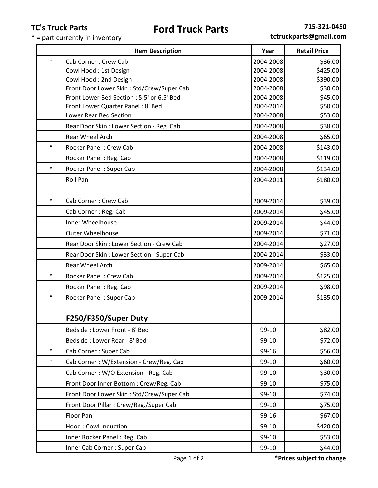## **TC's Truck Parts**

## **Ford Truck Parts 715-321-0450**

 $* =$  part currently in inventory

**tctruckparts@gmail.com**

|        | <b>Item Description</b>                                     | Year                   | <b>Retail Price</b> |
|--------|-------------------------------------------------------------|------------------------|---------------------|
| $\ast$ | Cab Corner: Crew Cab                                        | 2004-2008              | \$36.00             |
|        | Cowl Hood: 1st Design                                       | 2004-2008              | \$425.00            |
|        | Cowl Hood: 2nd Design                                       | 2004-2008              | \$390.00            |
|        | Front Door Lower Skin: Std/Crew/Super Cab                   | 2004-2008              | \$30.00             |
|        | Front Lower Bed Section : 5.5' or 6.5' Bed                  | 2004-2008              | \$45.00             |
|        | Front Lower Quarter Panel: 8' Bed<br>Lower Rear Bed Section | 2004-2014<br>2004-2008 | \$50.00<br>\$53.00  |
|        | Rear Door Skin: Lower Section - Reg. Cab                    | 2004-2008              | \$38.00             |
|        | Rear Wheel Arch                                             | 2004-2008              | \$65.00             |
| $\ast$ | Rocker Panel: Crew Cab                                      | 2004-2008              | \$143.00            |
|        | Rocker Panel: Reg. Cab                                      | 2004-2008              | \$119.00            |
| $\ast$ | Rocker Panel: Super Cab                                     | 2004-2008              | \$134.00            |
|        | Roll Pan                                                    | 2004-2011              | \$180.00            |
|        |                                                             |                        |                     |
| $\ast$ | Cab Corner: Crew Cab                                        | 2009-2014              | \$39.00             |
|        | Cab Corner: Reg. Cab                                        | 2009-2014              | \$45.00             |
|        | Inner Wheelhouse                                            | 2009-2014              | \$44.00             |
|        | <b>Outer Wheelhouse</b>                                     | 2009-2014              | \$71.00             |
|        | Rear Door Skin: Lower Section - Crew Cab                    | 2004-2014              | \$27.00             |
|        | Rear Door Skin: Lower Section - Super Cab                   | 2004-2014              | \$33.00             |
|        | Rear Wheel Arch                                             | 2009-2014              | \$65.00             |
| $\ast$ | Rocker Panel: Crew Cab                                      | 2009-2014              | \$125.00            |
|        | Rocker Panel: Reg. Cab                                      | 2009-2014              | \$98.00             |
| $\ast$ | Rocker Panel: Super Cab                                     | 2009-2014              | \$135.00            |
|        |                                                             |                        |                     |
|        | F250/F350/Super Duty                                        |                        |                     |
|        | Bedside: Lower Front - 8' Bed                               | 99-10                  | \$82.00             |
|        | Bedside: Lower Rear - 8' Bed                                | 99-10                  | \$72.00             |
| $\ast$ | Cab Corner: Super Cab                                       | 99-16                  | \$56.00             |
| $\ast$ | Cab Corner: W/Extension - Crew/Reg. Cab                     | 99-10                  | \$60.00             |
|        | Cab Corner: W/O Extension - Reg. Cab                        | 99-10                  | \$30.00             |
|        | Front Door Inner Bottom: Crew/Reg. Cab                      | 99-10                  | \$75.00             |
|        | Front Door Lower Skin: Std/Crew/Super Cab                   | 99-10                  | \$74.00             |
|        | Front Door Pillar: Crew/Reg./Super Cab                      | 99-10                  | \$75.00             |
|        | Floor Pan                                                   | 99-16                  | \$67.00             |
|        | Hood: Cowl Induction                                        | 99-10                  | \$420.00            |
|        | Inner Rocker Panel: Reg. Cab                                | 99-10                  | \$53.00             |
|        | Inner Cab Corner : Super Cab                                | 99-10                  | \$44.00             |